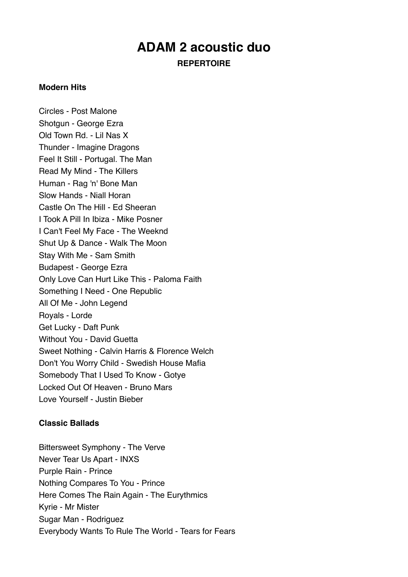# **ADAM 2 acoustic duo**

**REPERTOIRE**

### **Modern Hits**

Circles - Post Malone Shotgun - George Ezra Old Town Rd. - Lil Nas X Thunder - Imagine Dragons Feel It Still - Portugal. The Man Read My Mind - The Killers Human - Rag 'n' Bone Man Slow Hands - Niall Horan Castle On The Hill - Ed Sheeran I Took A Pill In Ibiza - Mike Posner I Can't Feel My Face - The Weeknd Shut Up & Dance - Walk The Moon Stay With Me - Sam Smith Budapest - George Ezra Only Love Can Hurt Like This - Paloma Faith Something I Need - One Republic All Of Me - John Legend Royals - Lorde Get Lucky - Daft Punk Without You - David Guetta Sweet Nothing - Calvin Harris & Florence Welch Don't You Worry Child - Swedish House Mafia Somebody That I Used To Know - Gotye Locked Out Of Heaven - Bruno Mars Love Yourself - Justin Bieber

## **Classic Ballads**

Bittersweet Symphony - The Verve Never Tear Us Apart - INXS Purple Rain - Prince Nothing Compares To You - Prince Here Comes The Rain Again - The Eurythmics Kyrie - Mr Mister Sugar Man - Rodriguez Everybody Wants To Rule The World - Tears for Fears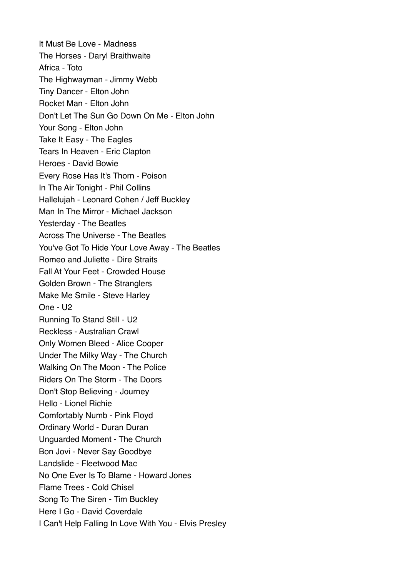It Must Be Love - Madness The Horses - Daryl Braithwaite Africa - Toto The Highwayman - Jimmy Webb Tiny Dancer - Elton John Rocket Man - Elton John Don't Let The Sun Go Down On Me - Elton John Your Song - Elton John Take It Easy - The Eagles Tears In Heaven - Eric Clapton Heroes - David Bowie Every Rose Has It's Thorn - Poison In The Air Tonight - Phil Collins Hallelujah - Leonard Cohen / Jeff Buckley Man In The Mirror - Michael Jackson Yesterday - The Beatles Across The Universe - The Beatles You've Got To Hide Your Love Away - The Beatles Romeo and Juliette - Dire Straits Fall At Your Feet - Crowded House Golden Brown - The Stranglers Make Me Smile - Steve Harley One - U2 Running To Stand Still - U2 Reckless - Australian Crawl Only Women Bleed - Alice Cooper Under The Milky Way - The Church Walking On The Moon - The Police Riders On The Storm - The Doors Don't Stop Believing - Journey Hello - Lionel Richie Comfortably Numb - Pink Floyd Ordinary World - Duran Duran Unguarded Moment - The Church Bon Jovi - Never Say Goodbye Landslide - Fleetwood Mac No One Ever Is To Blame - Howard Jones Flame Trees - Cold Chisel Song To The Siren - Tim Buckley Here I Go - David Coverdale I Can't Help Falling In Love With You - Elvis Presley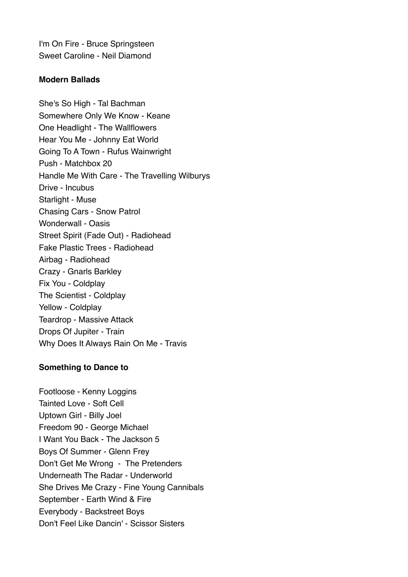I'm On Fire - Bruce Springsteen Sweet Caroline - Neil Diamond

### **Modern Ballads**

She's So High - Tal Bachman Somewhere Only We Know - Keane One Headlight - The Wallflowers Hear You Me - Johnny Eat World Going To A Town - Rufus Wainwright Push - Matchbox 20 Handle Me With Care - The Travelling Wilburys Drive - Incubus Starlight - Muse Chasing Cars - Snow Patrol Wonderwall - Oasis Street Spirit (Fade Out) - Radiohead Fake Plastic Trees - Radiohead Airbag - Radiohead Crazy - Gnarls Barkley Fix You - Coldplay The Scientist - Coldplay Yellow - Coldplay Teardrop - Massive Attack Drops Of Jupiter - Train Why Does It Always Rain On Me - Travis

#### **Something to Dance to**

Footloose - Kenny Loggins Tainted Love - Soft Cell Uptown Girl - Billy Joel Freedom 90 - George Michael I Want You Back - The Jackson 5 Boys Of Summer - Glenn Frey Don't Get Me Wrong - The Pretenders Underneath The Radar - Underworld She Drives Me Crazy - Fine Young Cannibals September - Earth Wind & Fire Everybody - Backstreet Boys Don't Feel Like Dancin' - Scissor Sisters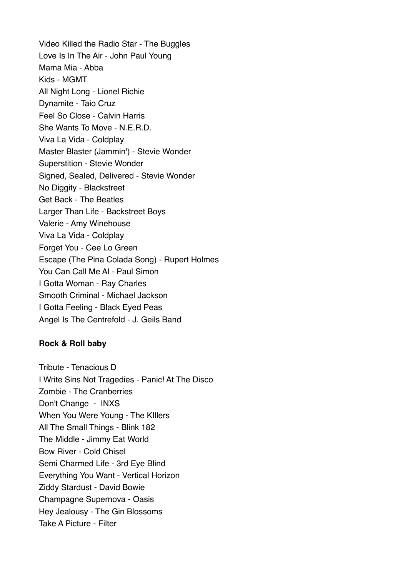Video Killed the Radio Star - The Buggles Love Is In The Air - John Paul Young Mama Mia - Abba Kids - MGMT All Night Long - Lionel Richie Dynamite - Taio Cruz Feel So Close - Calvin Harris She Wants To Move - N.E.R.D. Viva La Vida - Coldplay Master Blaster (Jammin') - Stevie Wonder Superstition - Stevie Wonder Signed, Sealed, Delivered - Stevie Wonder No Diggity - Blackstreet Get Back - The Beatles Larger Than Life - Backstreet Boys Valerie - Amy Winehouse Viva La Vida - Coldplay Forget You - Cee Lo Green Escape (The Pina Colada Song) - Rupert Holmes You Can Call Me Al - Paul Simon I Gotta Woman - Ray Charles Smooth Criminal - Michael Jackson I Gotta Feeling - Black Eyed Peas Angel Is The Centrefold - J. Geils Band

### **Rock & Roll baby**

Tribute - Tenacious D I Write Sins Not Tragedies - Panic! At The Disco Zombie - The Cranberries Don't Change - INXS When You Were Young - The KIllers All The Small Things - Blink 182 The Middle - Jimmy Eat World Bow River - Cold Chisel Semi Charmed Life - 3rd Eye Blind Everything You Want - Vertical Horizon Ziddy Stardust - David Bowie Champagne Supernova - Oasis Hey Jealousy - The Gin Blossoms Take A Picture - Filter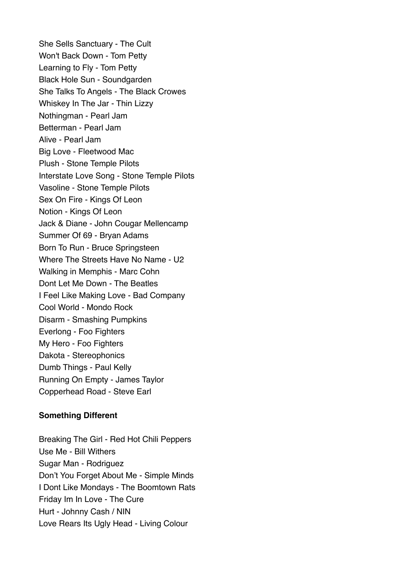She Sells Sanctuary - The Cult Won't Back Down - Tom Petty Learning to Fly - Tom Petty Black Hole Sun - Soundgarden She Talks To Angels - The Black Crowes Whiskey In The Jar - Thin Lizzy Nothingman - Pearl Jam Betterman - Pearl Jam Alive - Pearl Jam Big Love - Fleetwood Mac Plush - Stone Temple Pilots Interstate Love Song - Stone Temple Pilots Vasoline - Stone Temple Pilots Sex On Fire - Kings Of Leon Notion - Kings Of Leon Jack & Diane - John Cougar Mellencamp Summer Of 69 - Bryan Adams Born To Run - Bruce Springsteen Where The Streets Have No Name - U2 Walking in Memphis - Marc Cohn Dont Let Me Down - The Beatles I Feel Like Making Love - Bad Company Cool World - Mondo Rock Disarm - Smashing Pumpkins Everlong - Foo Fighters My Hero - Foo Fighters Dakota - Stereophonics Dumb Things - Paul Kelly Running On Empty - James Taylor Copperhead Road - Steve Earl

### **Something Different**

Breaking The Girl - Red Hot Chili Peppers Use Me - Bill Withers Sugar Man - Rodriguez Don't You Forget About Me - Simple Minds I Dont Like Mondays - The Boomtown Rats Friday Im In Love - The Cure Hurt - Johnny Cash / NIN Love Rears Its Ugly Head - Living Colour